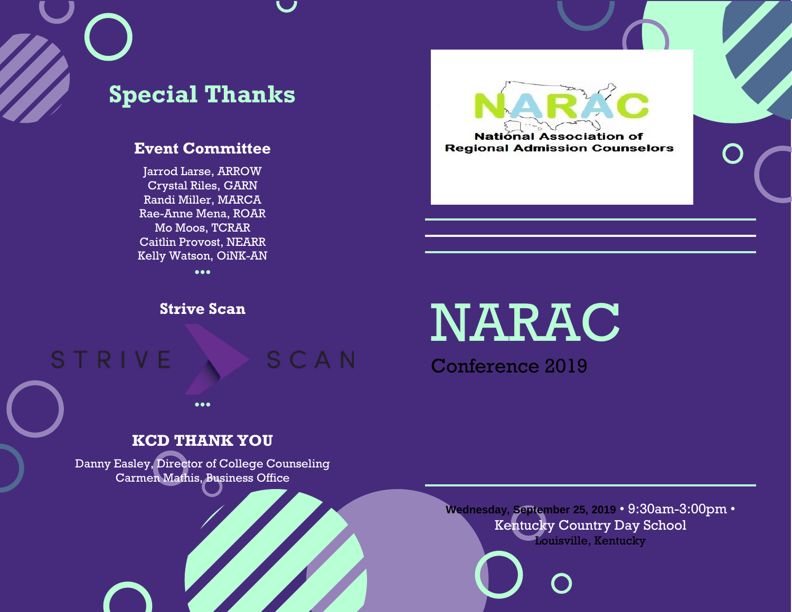# **Special Thanks**

## **Event Committee**

Jarrod Larse, ARROW Crystal Riles, GARN Randi Miller, MARCA Rae-Anne Mena, ROAR Mo Moos, TCRAR Caitlin Provost, NEARR Kelly Watson, OiNK-AN •••

**Strive Scan** 

## **STRIVE** SCAN

•••

**KCD THANK YOU**

Danny Easley, Director of College Counseling Carmen Mathis, Business Office

# NARAC

**National Association of Regional Admission Counselors** 

Conference 2019

## **Wednesday, September 25, 2019** • 9:30am-3:00pm • Kentucky Country Day School Louisville, Kentucky